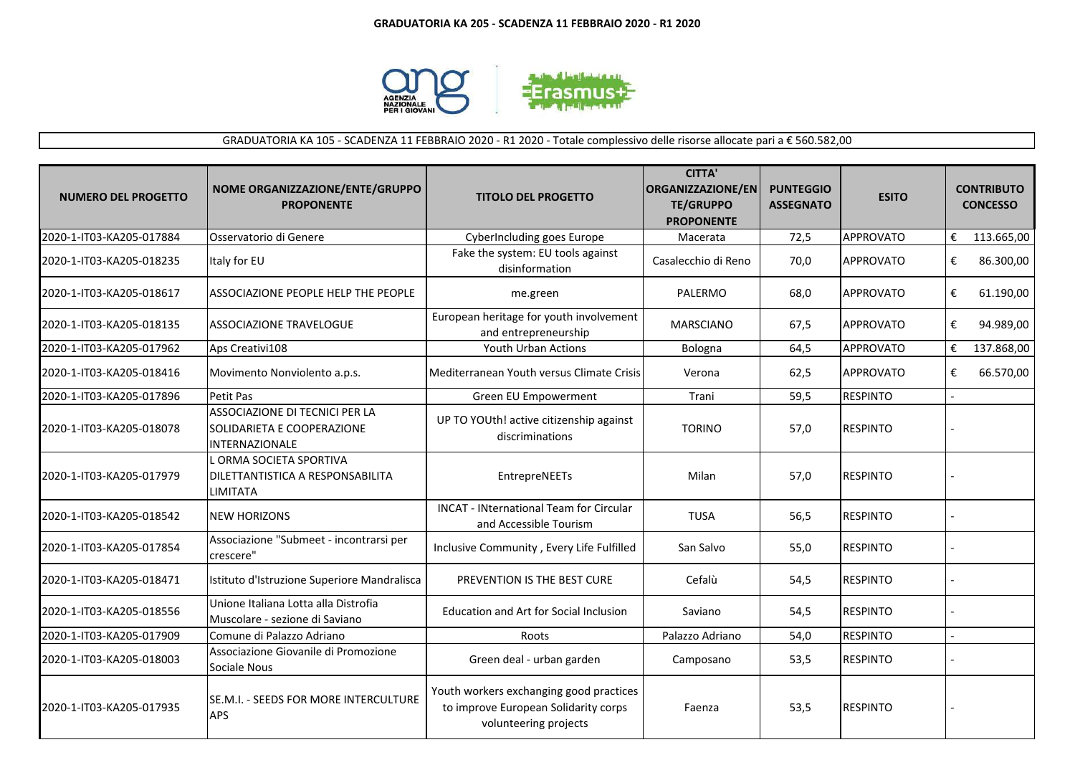

## GRADUATORIA KA 105 - SCADENZA 11 FEBBRAIO 2020 - R1 2020 - Totale complessivo delle risorse allocate pari a € 560.582,00

| <b>NUMERO DEL PROGETTO</b> | NOME ORGANIZZAZIONE/ENTE/GRUPPO<br><b>PROPONENTE</b>                                  | <b>TITOLO DEL PROGETTO</b>                                                                               | <b>CITTA'</b><br><b>ORGANIZZAZIONE/EN</b><br><b>TE/GRUPPO</b><br><b>PROPONENTE</b> | <b>PUNTEGGIO</b><br><b>ASSEGNATO</b> | <b>ESITO</b>     | <b>CONTRIBUTO</b><br><b>CONCESSO</b> |
|----------------------------|---------------------------------------------------------------------------------------|----------------------------------------------------------------------------------------------------------|------------------------------------------------------------------------------------|--------------------------------------|------------------|--------------------------------------|
| 2020-1-IT03-KA205-017884   | Osservatorio di Genere                                                                | CyberIncluding goes Europe                                                                               | Macerata                                                                           | 72,5                                 | <b>APPROVATO</b> | €<br>113.665,00                      |
| 2020-1-IT03-KA205-018235   | Italy for EU                                                                          | Fake the system: EU tools against<br>disinformation                                                      | Casalecchio di Reno                                                                | 70,0                                 | <b>APPROVATO</b> | €<br>86.300,00                       |
| 2020-1-IT03-KA205-018617   | ASSOCIAZIONE PEOPLE HELP THE PEOPLE                                                   | me.green                                                                                                 | PALERMO                                                                            | 68,0                                 | <b>APPROVATO</b> | €<br>61.190,00                       |
| 2020-1-IT03-KA205-018135   | ASSOCIAZIONE TRAVELOGUE                                                               | European heritage for youth involvement<br>and entrepreneurship                                          | <b>MARSCIANO</b>                                                                   | 67,5                                 | <b>APPROVATO</b> | €<br>94.989,00                       |
| 2020-1-IT03-KA205-017962   | Aps Creativi108                                                                       | Youth Urban Actions                                                                                      | Bologna                                                                            | 64,5                                 | <b>APPROVATO</b> | €<br>137.868,00                      |
| 2020-1-IT03-KA205-018416   | Movimento Nonviolento a.p.s.                                                          | Mediterranean Youth versus Climate Crisis                                                                | Verona                                                                             | 62,5                                 | <b>APPROVATO</b> | €<br>66.570,00                       |
| 2020-1-IT03-KA205-017896   | Petit Pas                                                                             | Green EU Empowerment                                                                                     | Trani                                                                              | 59,5                                 | <b>RESPINTO</b>  |                                      |
| 2020-1-IT03-KA205-018078   | ASSOCIAZIONE DI TECNICI PER LA<br>SOLIDARIETA E COOPERAZIONE<br><b>INTERNAZIONALE</b> | UP TO YOUth! active citizenship against<br>discriminations                                               | <b>TORINO</b>                                                                      | 57,0                                 | <b>RESPINTO</b>  |                                      |
| 2020-1-IT03-KA205-017979   | LORMA SOCIETA SPORTIVA<br>DILETTANTISTICA A RESPONSABILITA<br><b>LIMITATA</b>         | EntrepreNEETs                                                                                            | Milan                                                                              | 57,0                                 | <b>RESPINTO</b>  |                                      |
| 2020-1-IT03-KA205-018542   | <b>NEW HORIZONS</b>                                                                   | <b>INCAT - INternational Team for Circular</b><br>and Accessible Tourism                                 | <b>TUSA</b>                                                                        | 56,5                                 | <b>RESPINTO</b>  |                                      |
| 2020-1-IT03-KA205-017854   | Associazione "Submeet - incontrarsi per<br>crescere"                                  | Inclusive Community, Every Life Fulfilled                                                                | San Salvo                                                                          | 55,0                                 | <b>RESPINTO</b>  |                                      |
| 2020-1-IT03-KA205-018471   | Istituto d'Istruzione Superiore Mandralisca                                           | PREVENTION IS THE BEST CURE                                                                              | Cefalù                                                                             | 54,5                                 | <b>RESPINTO</b>  |                                      |
| 2020-1-IT03-KA205-018556   | Unione Italiana Lotta alla Distrofia<br>Muscolare - sezione di Saviano                | <b>Education and Art for Social Inclusion</b>                                                            | Saviano                                                                            | 54,5                                 | <b>RESPINTO</b>  |                                      |
| 2020-1-IT03-KA205-017909   | Comune di Palazzo Adriano                                                             | Roots                                                                                                    | Palazzo Adriano                                                                    | 54,0                                 | <b>RESPINTO</b>  |                                      |
| 2020-1-IT03-KA205-018003   | Associazione Giovanile di Promozione<br>Sociale Nous                                  | Green deal - urban garden                                                                                | Camposano                                                                          | 53,5                                 | <b>RESPINTO</b>  |                                      |
| 2020-1-IT03-KA205-017935   | SE.M.I. - SEEDS FOR MORE INTERCULTURE<br><b>APS</b>                                   | Youth workers exchanging good practices<br>to improve European Solidarity corps<br>volunteering projects | Faenza                                                                             | 53,5                                 | <b>RESPINTO</b>  |                                      |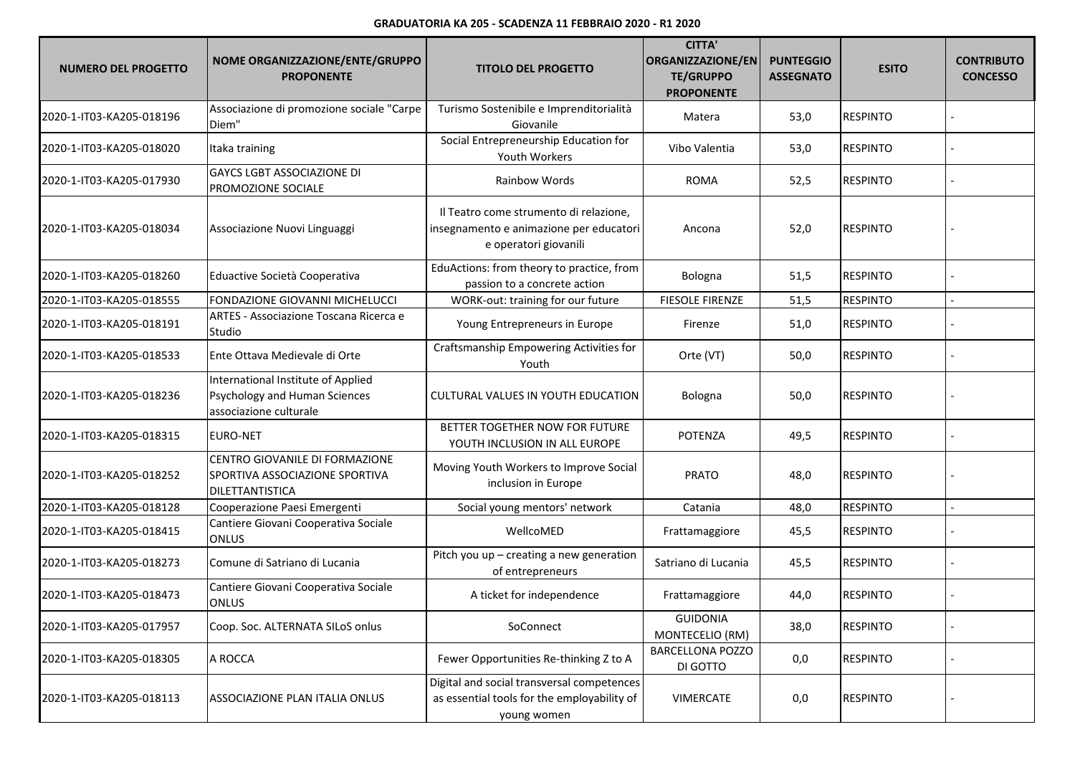## **GRADUATORIA KA 205 - SCADENZA 11 FEBBRAIO 2020 - R1 2020**

| <b>NUMERO DEL PROGETTO</b> | NOME ORGANIZZAZIONE/ENTE/GRUPPO<br><b>PROPONENTE</b>                                          | <b>TITOLO DEL PROGETTO</b>                                                                                 | <b>CITTA'</b><br><b>ORGANIZZAZIONE/EN</b><br><b>TE/GRUPPO</b><br><b>PROPONENTE</b> | <b>PUNTEGGIO</b><br><b>ASSEGNATO</b> | <b>ESITO</b>    | <b>CONTRIBUTO</b><br><b>CONCESSO</b> |
|----------------------------|-----------------------------------------------------------------------------------------------|------------------------------------------------------------------------------------------------------------|------------------------------------------------------------------------------------|--------------------------------------|-----------------|--------------------------------------|
| 2020-1-IT03-KA205-018196   | Associazione di promozione sociale "Carpe<br>Diem"                                            | Turismo Sostenibile e Imprenditorialità<br>Giovanile                                                       | Matera                                                                             | 53,0                                 | <b>RESPINTO</b> |                                      |
| 2020-1-IT03-KA205-018020   | Itaka training                                                                                | Social Entrepreneurship Education for<br>Youth Workers                                                     | Vibo Valentia                                                                      | 53,0                                 | <b>RESPINTO</b> |                                      |
| 2020-1-IT03-KA205-017930   | <b>GAYCS LGBT ASSOCIAZIONE DI</b><br>PROMOZIONE SOCIALE                                       | Rainbow Words                                                                                              | <b>ROMA</b>                                                                        | 52,5                                 | <b>RESPINTO</b> |                                      |
| 2020-1-IT03-KA205-018034   | Associazione Nuovi Linguaggi                                                                  | Il Teatro come strumento di relazione,<br>insegnamento e animazione per educatori<br>e operatori giovanili | Ancona                                                                             | 52,0                                 | <b>RESPINTO</b> |                                      |
| 2020-1-IT03-KA205-018260   | Eduactive Società Cooperativa                                                                 | EduActions: from theory to practice, from<br>passion to a concrete action                                  | Bologna                                                                            | 51,5                                 | <b>RESPINTO</b> |                                      |
| 2020-1-IT03-KA205-018555   | FONDAZIONE GIOVANNI MICHELUCCI                                                                | WORK-out: training for our future                                                                          | <b>FIESOLE FIRENZE</b>                                                             | 51,5                                 | <b>RESPINTO</b> |                                      |
| 2020-1-IT03-KA205-018191   | ARTES - Associazione Toscana Ricerca e<br>Studio                                              | Young Entrepreneurs in Europe                                                                              | Firenze                                                                            | 51,0                                 | <b>RESPINTO</b> |                                      |
| 2020-1-IT03-KA205-018533   | Ente Ottava Medievale di Orte                                                                 | Craftsmanship Empowering Activities for<br>Youth                                                           | Orte (VT)                                                                          | 50,0                                 | <b>RESPINTO</b> |                                      |
| 2020-1-IT03-KA205-018236   | International Institute of Applied<br>Psychology and Human Sciences<br>associazione culturale | CULTURAL VALUES IN YOUTH EDUCATION                                                                         | Bologna                                                                            | 50,0                                 | <b>RESPINTO</b> |                                      |
| 2020-1-IT03-KA205-018315   | <b>EURO-NET</b>                                                                               | BETTER TOGETHER NOW FOR FUTURE<br>YOUTH INCLUSION IN ALL EUROPE                                            | <b>POTENZA</b>                                                                     | 49,5                                 | <b>RESPINTO</b> |                                      |
| 2020-1-IT03-KA205-018252   | CENTRO GIOVANILE DI FORMAZIONE<br>SPORTIVA ASSOCIAZIONE SPORTIVA<br>DILETTANTISTICA           | Moving Youth Workers to Improve Social<br>inclusion in Europe                                              | <b>PRATO</b>                                                                       | 48,0                                 | <b>RESPINTO</b> |                                      |
| 2020-1-IT03-KA205-018128   | Cooperazione Paesi Emergenti                                                                  | Social young mentors' network                                                                              | Catania                                                                            | 48,0                                 | <b>RESPINTO</b> |                                      |
| 2020-1-IT03-KA205-018415   | Cantiere Giovani Cooperativa Sociale<br><b>ONLUS</b>                                          | WellcoMED                                                                                                  | Frattamaggiore                                                                     | 45,5                                 | <b>RESPINTO</b> |                                      |
| 2020-1-IT03-KA205-018273   | Comune di Satriano di Lucania                                                                 | Pitch you up - creating a new generation<br>of entrepreneurs                                               | Satriano di Lucania                                                                | 45,5                                 | <b>RESPINTO</b> |                                      |
| 2020-1-IT03-KA205-018473   | Cantiere Giovani Cooperativa Sociale<br><b>ONLUS</b>                                          | A ticket for independence                                                                                  | Frattamaggiore                                                                     | 44,0                                 | <b>RESPINTO</b> |                                      |
| 2020-1-IT03-KA205-017957   | Coop. Soc. ALTERNATA SILoS onlus                                                              | SoConnect                                                                                                  | <b>GUIDONIA</b><br>MONTECELIO (RM)                                                 | 38,0                                 | <b>RESPINTO</b> |                                      |
| 2020-1-IT03-KA205-018305   | A ROCCA                                                                                       | Fewer Opportunities Re-thinking Z to A                                                                     | <b>BARCELLONA POZZO</b><br>DI GOTTO                                                | 0,0                                  | <b>RESPINTO</b> |                                      |
| 2020-1-IT03-KA205-018113   | ASSOCIAZIONE PLAN ITALIA ONLUS                                                                | Digital and social transversal competences<br>as essential tools for the employability of<br>young women   | VIMERCATE                                                                          | 0,0                                  | <b>RESPINTO</b> |                                      |